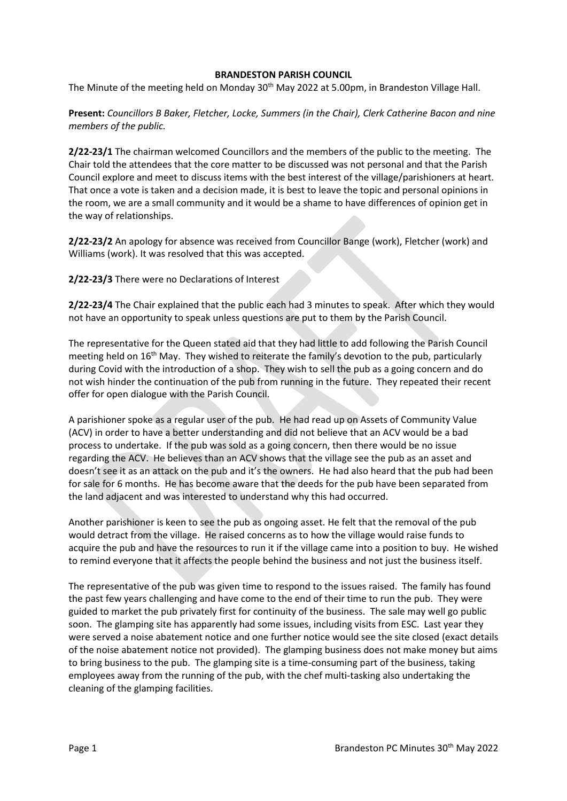## **BRANDESTON PARISH COUNCIL**

The Minute of the meeting held on Monday 30<sup>th</sup> May 2022 at 5.00pm, in Brandeston Village Hall.

**Present:** *Councillors B Baker, Fletcher, Locke, Summers (in the Chair), Clerk Catherine Bacon and nine members of the public.*

**2/22-23/1** The chairman welcomed Councillors and the members of the public to the meeting. The Chair told the attendees that the core matter to be discussed was not personal and that the Parish Council explore and meet to discuss items with the best interest of the village/parishioners at heart. That once a vote is taken and a decision made, it is best to leave the topic and personal opinions in the room, we are a small community and it would be a shame to have differences of opinion get in the way of relationships.

**2/22-23/2** An apology for absence was received from Councillor Bange (work), Fletcher (work) and Williams (work). It was resolved that this was accepted.

**2/22-23/3** There were no Declarations of Interest

**2/22-23/4** The Chair explained that the public each had 3 minutes to speak. After which they would not have an opportunity to speak unless questions are put to them by the Parish Council.

The representative for the Queen stated aid that they had little to add following the Parish Council meeting held on 16<sup>th</sup> May. They wished to reiterate the family's devotion to the pub, particularly during Covid with the introduction of a shop. They wish to sell the pub as a going concern and do not wish hinder the continuation of the pub from running in the future. They repeated their recent offer for open dialogue with the Parish Council.

A parishioner spoke as a regular user of the pub. He had read up on Assets of Community Value (ACV) in order to have a better understanding and did not believe that an ACV would be a bad process to undertake. If the pub was sold as a going concern, then there would be no issue regarding the ACV. He believes than an ACV shows that the village see the pub as an asset and doesn't see it as an attack on the pub and it's the owners. He had also heard that the pub had been for sale for 6 months. He has become aware that the deeds for the pub have been separated from the land adjacent and was interested to understand why this had occurred.

Another parishioner is keen to see the pub as ongoing asset. He felt that the removal of the pub would detract from the village. He raised concerns as to how the village would raise funds to acquire the pub and have the resources to run it if the village came into a position to buy. He wished to remind everyone that it affects the people behind the business and not just the business itself.

The representative of the pub was given time to respond to the issues raised. The family has found the past few years challenging and have come to the end of their time to run the pub. They were guided to market the pub privately first for continuity of the business. The sale may well go public soon. The glamping site has apparently had some issues, including visits from ESC. Last year they were served a noise abatement notice and one further notice would see the site closed (exact details of the noise abatement notice not provided). The glamping business does not make money but aims to bring business to the pub. The glamping site is a time-consuming part of the business, taking employees away from the running of the pub, with the chef multi-tasking also undertaking the cleaning of the glamping facilities.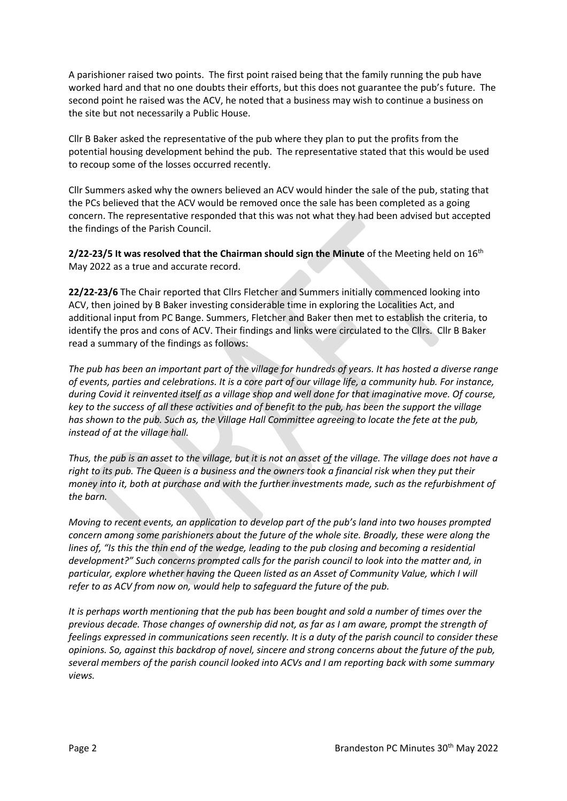A parishioner raised two points. The first point raised being that the family running the pub have worked hard and that no one doubts their efforts, but this does not guarantee the pub's future. The second point he raised was the ACV, he noted that a business may wish to continue a business on the site but not necessarily a Public House.

Cllr B Baker asked the representative of the pub where they plan to put the profits from the potential housing development behind the pub. The representative stated that this would be used to recoup some of the losses occurred recently.

Cllr Summers asked why the owners believed an ACV would hinder the sale of the pub, stating that the PCs believed that the ACV would be removed once the sale has been completed as a going concern. The representative responded that this was not what they had been advised but accepted the findings of the Parish Council.

**2/22-23/5 It was resolved that the Chairman should sign the Minute** of the Meeting held on 16th May 2022 as a true and accurate record.

**22/22-23/6** The Chair reported that Cllrs Fletcher and Summers initially commenced looking into ACV, then joined by B Baker investing considerable time in exploring the Localities Act, and additional input from PC Bange. Summers, Fletcher and Baker then met to establish the criteria, to identify the pros and cons of ACV. Their findings and links were circulated to the Cllrs. Cllr B Baker read a summary of the findings as follows:

*The pub has been an important part of the village for hundreds of years. It has hosted a diverse range of events, parties and celebrations. It is a core part of our village life, a community hub. For instance, during Covid it reinvented itself as a village shop and well done for that imaginative move. Of course, key to the success of all these activities and of benefit to the pub, has been the support the village has shown to the pub. Such as, the Village Hall Committee agreeing to locate the fete at the pub, instead of at the village hall.*

*Thus, the pub is an asset to the village, but it is not an asset of the village. The village does not have a right to its pub. The Queen is a business and the owners took a financial risk when they put their money into it, both at purchase and with the further investments made, such as the refurbishment of the barn.*

*Moving to recent events, an application to develop part of the pub's land into two houses prompted concern among some parishioners about the future of the whole site. Broadly, these were along the lines of, "Is this the thin end of the wedge, leading to the pub closing and becoming a residential development?" Such concerns prompted calls for the parish council to look into the matter and, in particular, explore whether having the Queen listed as an Asset of Community Value, which I will refer to as ACV from now on, would help to safeguard the future of the pub.*

*It is perhaps worth mentioning that the pub has been bought and sold a number of times over the previous decade. Those changes of ownership did not, as far as I am aware, prompt the strength of feelings expressed in communications seen recently. It is a duty of the parish council to consider these opinions. So, against this backdrop of novel, sincere and strong concerns about the future of the pub, several members of the parish council looked into ACVs and I am reporting back with some summary views.*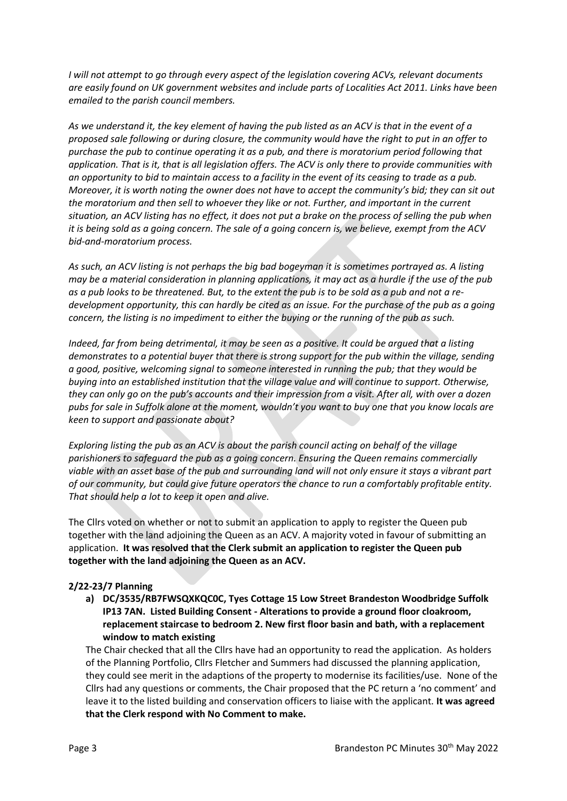*I will not attempt to go through every aspect of the legislation covering ACVs, relevant documents are easily found on UK government websites and include parts of Localities Act 2011. Links have been emailed to the parish council members.*

*As we understand it, the key element of having the pub listed as an ACV is that in the event of a proposed sale following or during closure, the community would have the right to put in an offer to purchase the pub to continue operating it as a pub, and there is moratorium period following that application. That is it, that is all legislation offers. The ACV is only there to provide communities with an opportunity to bid to maintain access to a facility in the event of its ceasing to trade as a pub. Moreover, it is worth noting the owner does not have to accept the community's bid; they can sit out the moratorium and then sell to whoever they like or not. Further, and important in the current situation, an ACV listing has no effect, it does not put a brake on the process of selling the pub when it is being sold as a going concern. The sale of a going concern is, we believe, exempt from the ACV bid-and-moratorium process.*

*As such, an ACV listing is not perhaps the big bad bogeyman it is sometimes portrayed as. A listing may be a material consideration in planning applications, it may act as a hurdle if the use of the pub as a pub looks to be threatened. But, to the extent the pub is to be sold as a pub and not a redevelopment opportunity, this can hardly be cited as an issue. For the purchase of the pub as a going concern, the listing is no impediment to either the buying or the running of the pub as such.*

*Indeed, far from being detrimental, it may be seen as a positive. It could be argued that a listing demonstrates to a potential buyer that there is strong support for the pub within the village, sending a good, positive, welcoming signal to someone interested in running the pub; that they would be buying into an established institution that the village value and will continue to support. Otherwise, they can only go on the pub's accounts and their impression from a visit. After all, with over a dozen pubs for sale in Suffolk alone at the moment, wouldn't you want to buy one that you know locals are keen to support and passionate about?*

*Exploring listing the pub as an ACV is about the parish council acting on behalf of the village parishioners to safeguard the pub as a going concern. Ensuring the Queen remains commercially viable with an asset base of the pub and surrounding land will not only ensure it stays a vibrant part of our community, but could give future operators the chance to run a comfortably profitable entity. That should help a lot to keep it open and alive.*

The Cllrs voted on whether or not to submit an application to apply to register the Queen pub together with the land adjoining the Queen as an ACV. A majority voted in favour of submitting an application. **It was resolved that the Clerk submit an application to register the Queen pub together with the land adjoining the Queen as an ACV.**

## **2/22-23/7 Planning**

**a) DC/3535/RB7FWSQXKQC0C, Tyes Cottage 15 Low Street Brandeston Woodbridge Suffolk IP13 7AN. Listed Building Consent - Alterations to provide a ground floor cloakroom, replacement staircase to bedroom 2. New first floor basin and bath, with a replacement window to match existing**

The Chair checked that all the Cllrs have had an opportunity to read the application. As holders of the Planning Portfolio, Cllrs Fletcher and Summers had discussed the planning application, they could see merit in the adaptions of the property to modernise its facilities/use. None of the Cllrs had any questions or comments, the Chair proposed that the PC return a 'no comment' and leave it to the listed building and conservation officers to liaise with the applicant. **It was agreed that the Clerk respond with No Comment to make.**